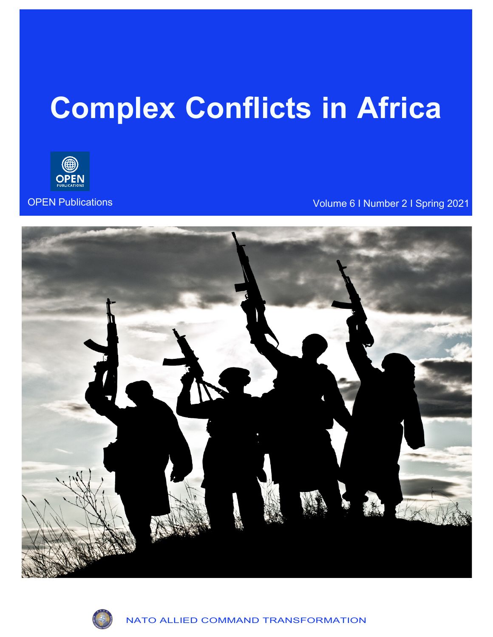# **Complex Conflicts in Africa**



OPEN Publications Volume 6 I Number 2 I Spring 2021



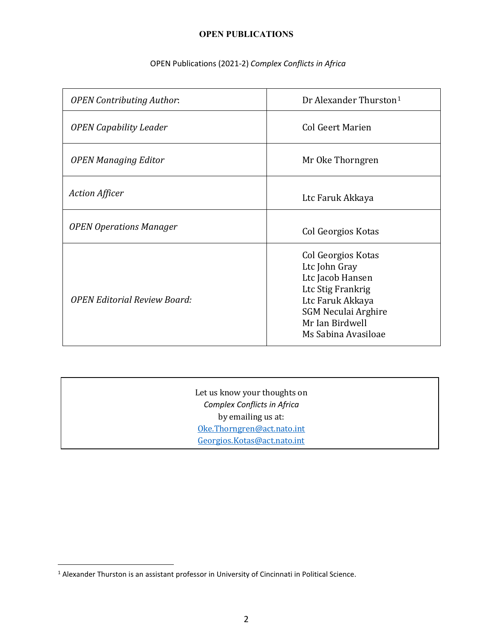## OPEN Publications (2021-2) *Complex Conflicts in Africa*

| <b>OPEN Contributing Author:</b>    | Dr Alexander Thurston <sup>1</sup>                                                                                                                                       |
|-------------------------------------|--------------------------------------------------------------------------------------------------------------------------------------------------------------------------|
| <b>OPEN Capability Leader</b>       | <b>Col Geert Marien</b>                                                                                                                                                  |
| <b>OPEN Managing Editor</b>         | Mr Oke Thorngren                                                                                                                                                         |
| <b>Action Afficer</b>               | Ltc Faruk Akkaya                                                                                                                                                         |
| <b>OPEN Operations Manager</b>      | Col Georgios Kotas                                                                                                                                                       |
| <b>OPEN Editorial Review Board:</b> | Col Georgios Kotas<br>Ltc John Gray<br>Ltc Jacob Hansen<br>Ltc Stig Frankrig<br>Ltc Faruk Akkaya<br><b>SGM Neculai Arghire</b><br>Mr Ian Birdwell<br>Ms Sabina Avasiloae |

| Let us know your thoughts on |
|------------------------------|
| Complex Conflicts in Africa  |
| by emailing us at:           |
| Oke.Thorngren@act.nato.int   |
| Georgios.Kotas@act.nato.int  |

<span id="page-1-0"></span><sup>&</sup>lt;sup>1</sup> Alexander Thurston is an assistant professor in University of Cincinnati in Political Science.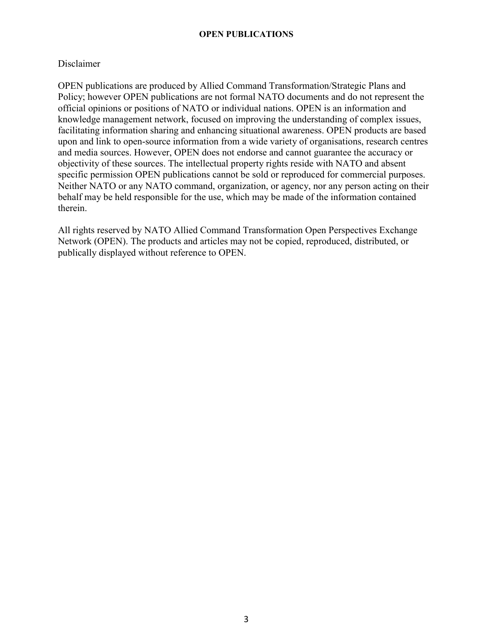#### Disclaimer

OPEN publications are produced by Allied Command Transformation/Strategic Plans and Policy; however OPEN publications are not formal NATO documents and do not represent the official opinions or positions of NATO or individual nations. OPEN is an information and knowledge management network, focused on improving the understanding of complex issues, facilitating information sharing and enhancing situational awareness. OPEN products are based upon and link to open-source information from a wide variety of organisations, research centres and media sources. However, OPEN does not endorse and cannot guarantee the accuracy or objectivity of these sources. The intellectual property rights reside with NATO and absent specific permission OPEN publications cannot be sold or reproduced for commercial purposes. Neither NATO or any NATO command, organization, or agency, nor any person acting on their behalf may be held responsible for the use, which may be made of the information contained therein.

All rights reserved by NATO Allied Command Transformation Open Perspectives Exchange Network (OPEN). The products and articles may not be copied, reproduced, distributed, or publically displayed without reference to OPEN.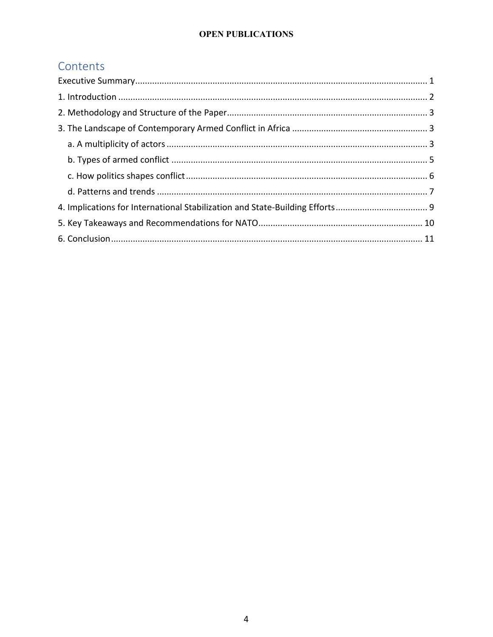# Contents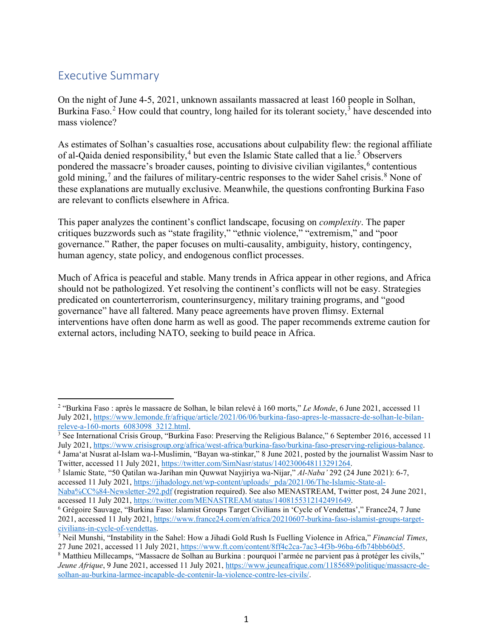# <span id="page-4-0"></span>Executive Summary

 $\overline{a}$ 

On the night of June 4-5, 2021, unknown assailants massacred at least 160 people in Solhan, Burkina Faso.<sup>[2](#page-4-1)</sup> How could that country, long hailed for its tolerant society,<sup>[3](#page-4-2)</sup> have descended into mass violence?

As estimates of Solhan's casualties rose, accusations about culpability flew: the regional affiliate of al-Qaida denied responsibility,<sup>[4](#page-4-3)</sup> but even the Islamic State called that a lie.<sup>[5](#page-4-4)</sup> Observers pondered the massacre's broader causes, pointing to divisive civilian vigilantes,<sup>[6](#page-4-5)</sup> contentious gold mining,<sup>[7](#page-4-6)</sup> and the failures of military-centric responses to the wider Sahel crisis.<sup>[8](#page-4-7)</sup> None of these explanations are mutually exclusive. Meanwhile, the questions confronting Burkina Faso are relevant to conflicts elsewhere in Africa.

This paper analyzes the continent's conflict landscape, focusing on *complexity*. The paper critiques buzzwords such as "state fragility," "ethnic violence," "extremism," and "poor governance." Rather, the paper focuses on multi-causality, ambiguity, history, contingency, human agency, state policy, and endogenous conflict processes.

Much of Africa is peaceful and stable. Many trends in Africa appear in other regions, and Africa should not be pathologized. Yet resolving the continent's conflicts will not be easy. Strategies predicated on counterterrorism, counterinsurgency, military training programs, and "good governance" have all faltered. Many peace agreements have proven flimsy. External interventions have often done harm as well as good. The paper recommends extreme caution for external actors, including NATO, seeking to build peace in Africa.

<span id="page-4-1"></span><sup>2</sup> "Burkina Faso : après le massacre de Solhan, le bilan relevé à 160 morts," *Le Monde*, 6 June 2021, accessed 11 July 2021, [https://www.lemonde.fr/afrique/article/2021/06/06/burkina-faso-apres-le-massacre-de-solhan-le-bilan](https://www.lemonde.fr/afrique/article/2021/06/06/burkina-faso-apres-le-massacre-de-solhan-le-bilan-releve-a-160-morts_6083098_3212.html)releve-a-160-morts  $6083098$   $3212.$ html.<br><sup>3</sup> See International Crisis Group, "Burkina Faso: Preserving the Religious Balance," 6 September 2016, accessed 11

<span id="page-4-2"></span>July 2021, https://www.crisisgroup.org/africa/west-africa/burkina-faso/burkina-faso-preserving-religious-balance.<br><sup>4</sup> Jama'at Nusrat al-Islam wa-l-Muslimin, "Bayan wa-stinkar," 8 June 2021, posted by the journalist Wassim

<span id="page-4-3"></span>Twitter, accessed 11 July 2021[, https://twitter.com/SimNasr/status/1402300648113291264.](https://twitter.com/SimNasr/status/1402300648113291264) 5 Islamic State, "50 Qatilan wa-Jarihan min Quwwat Nayjiriya wa-Nijar," *Al-Naba'* 292 (24 June 2021): 6-7,

<span id="page-4-4"></span>accessed 11 July 2021, [https://jihadology.net/wp-content/uploads/\\_pda/2021/06/The-Islamic-State-al-](https://jihadology.net/wp-content/uploads/_pda/2021/06/The-Islamic-State-al-Naba%CC%84-Newsletter-292.pdf)

[Naba%CC%84-Newsletter-292.pdf](https://jihadology.net/wp-content/uploads/_pda/2021/06/The-Islamic-State-al-Naba%CC%84-Newsletter-292.pdf) (registration required). See also MENASTREAM, Twitter post, 24 June 2021, accessed 11 July 2021, https://twitter.com/MENASTREAM/status/1408155312142491649.

<span id="page-4-5"></span><sup>&</sup>lt;sup>6</sup> Grégoire Sauvage, "Burkina Faso: Islamist Groups Target Civilians in 'Cycle of Vendettas'," France24, 7 June 2021, accessed 11 July 2021, [https://www.france24.com/en/africa/20210607-burkina-faso-islamist-groups-target](https://www.france24.com/en/africa/20210607-burkina-faso-islamist-groups-target-civilians-in-cycle-of-vendettas)[civilians-in-cycle-of-vendettas.](https://www.france24.com/en/africa/20210607-burkina-faso-islamist-groups-target-civilians-in-cycle-of-vendettas) 7 Neil Munshi, "Instability in the Sahel: How a Jihadi Gold Rush Is Fuelling Violence in Africa," *Financial Times*,

<span id="page-4-6"></span><sup>27</sup> June 2021, accessed 11 July 2021[, https://www.ft.com/content/8ff4c2ca-7ac3-4f3b-96ba-6fb74bbb60d5.](https://www.ft.com/content/8ff4c2ca-7ac3-4f3b-96ba-6fb74bbb60d5)<br><sup>8</sup> Matthieu Millecamps, "Massacre de Solhan au Burkina : pourquoi l'armée ne parvient pas à protéger les civils,"

<span id="page-4-7"></span>*Jeune Afrique*, 9 June 2021, accessed 11 July 2021, [https://www.jeuneafrique.com/1185689/politique/massacre-de](https://www.jeuneafrique.com/1185689/politique/massacre-de-solhan-au-burkina-larmee-incapable-de-contenir-la-violence-contre-les-civils/)[solhan-au-burkina-larmee-incapable-de-contenir-la-violence-contre-les-civils/.](https://www.jeuneafrique.com/1185689/politique/massacre-de-solhan-au-burkina-larmee-incapable-de-contenir-la-violence-contre-les-civils/)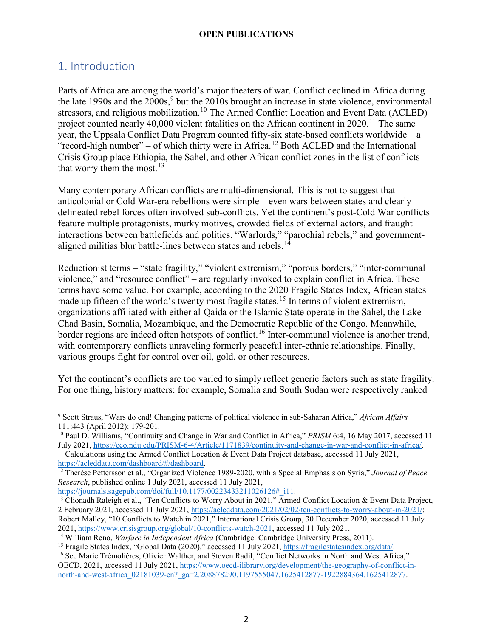## <span id="page-5-0"></span>1. Introduction

 $\overline{a}$ 

Parts of Africa are among the world's major theaters of war. Conflict declined in Africa during the late 1[9](#page-5-1)90s and the  $2000s<sup>9</sup>$  but the 2010s brought an increase in state violence, environmental stressors, and religious mobilization.<sup>[10](#page-5-2)</sup> The Armed Conflict Location and Event Data (ACLED) project counted nearly 40,000 violent fatalities on the African continent in  $2020$ .<sup>[11](#page-5-3)</sup> The same year, the Uppsala Conflict Data Program counted fifty-six state-based conflicts worldwide – a "record-high number" – of which thirty were in Africa.<sup>[12](#page-5-4)</sup> Both ACLED and the International Crisis Group place Ethiopia, the Sahel, and other African conflict zones in the list of conflicts that worry them the most. $13$ 

Many contemporary African conflicts are multi-dimensional. This is not to suggest that anticolonial or Cold War-era rebellions were simple – even wars between states and clearly delineated rebel forces often involved sub-conflicts. Yet the continent's post-Cold War conflicts feature multiple protagonists, murky motives, crowded fields of external actors, and fraught interactions between battlefields and politics. "Warlords," "parochial rebels," and government-aligned militias blur battle-lines between states and rebels.<sup>[14](#page-5-6)</sup>

Reductionist terms – "state fragility," "violent extremism," "porous borders," "inter-communal violence," and "resource conflict" – are regularly invoked to explain conflict in Africa. These terms have some value. For example, according to the 2020 Fragile States Index, African states made up fifteen of the world's twenty most fragile states.<sup>[15](#page-5-7)</sup> In terms of violent extremism, organizations affiliated with either al-Qaida or the Islamic State operate in the Sahel, the Lake Chad Basin, Somalia, Mozambique, and the Democratic Republic of the Congo. Meanwhile, border regions are indeed often hotspots of conflict.<sup>[16](#page-5-8)</sup> Inter-communal violence is another trend, with contemporary conflicts unraveling formerly peaceful inter-ethnic relationships. Finally, various groups fight for control over oil, gold, or other resources.

Yet the continent's conflicts are too varied to simply reflect generic factors such as state fragility. For one thing, history matters: for example, Somalia and South Sudan were respectively ranked

<span id="page-5-1"></span><sup>9</sup> Scott Straus, "Wars do end! Changing patterns of political violence in sub-Saharan Africa," *African Affairs* 111:443 (April 2012): 179-201.

<span id="page-5-2"></span><sup>10</sup> Paul D. Williams, "Continuity and Change in War and Conflict in Africa," *PRISM* 6:4, 16 May 2017, accessed 11

<span id="page-5-3"></span>July 2021, [https://cco.ndu.edu/PRISM-6-4/Article/1171839/continuity-and-change-in-war-and-conflict-in-africa/.](https://cco.ndu.edu/PRISM-6-4/Article/1171839/continuity-and-change-in-war-and-conflict-in-africa/)<br><sup>11</sup> Calculations using the Armed Conflict Location & Event Data Project database, accessed 11 July 2021,<br>https

<span id="page-5-4"></span><sup>&</sup>lt;sup>12</sup> Therése Pettersson et al., "Organized Violence 1989-2020, with a Special Emphasis on Syria," *Journal of Peace Research*, published online 1 July 2021, accessed 11 July 2021,

<span id="page-5-5"></span><sup>&</sup>lt;sup>13</sup> Clionadh Raleigh et al., "Ten Conflicts to Worry About in 2021," Armed Conflict Location & Event Data Project, 2 February 2021, accessed 11 July 2021, [https://acleddata.com/2021/02/02/ten-conflicts-to-worry-about-in-2021/;](https://acleddata.com/2021/02/02/ten-conflicts-to-worry-about-in-2021/)

Robert Malley, "10 Conflicts to Watch in 2021," International Crisis Group, 30 December 2020, accessed 11 July 2021, [https://www.crisisgroup.org/global/10-conflicts-watch-2021,](https://www.crisisgroup.org/global/10-conflicts-watch-2021) accessed 11 July 2021.

<span id="page-5-6"></span><sup>&</sup>lt;sup>14</sup> William Reno, *Warfare in Independent Africa* (Cambridge: Cambridge University Press, 2011).

<span id="page-5-7"></span><sup>&</sup>lt;sup>15</sup> Fragile States Index, "Global Data (2020)," accessed 11 July 2021, [https://fragilestatesindex.org/data/.](https://fragilestatesindex.org/data/)<br><sup>16</sup> See Marie Trémolières, Olivier Walther, and Steven Radil, "Conflict Networks in North and West Africa,"

<span id="page-5-8"></span>OECD, 2021, accessed 11 July 2021, [https://www.oecd-ilibrary.org/development/the-geography-of-conflict-in](https://www.oecd-ilibrary.org/development/the-geography-of-conflict-in-north-and-west-africa_02181039-en?_ga=2.208878290.1197555047.1625412877-1922884364.1625412877)[north-and-west-africa\\_02181039-en?\\_ga=2.208878290.1197555047.1625412877-1922884364.1625412877.](https://www.oecd-ilibrary.org/development/the-geography-of-conflict-in-north-and-west-africa_02181039-en?_ga=2.208878290.1197555047.1625412877-1922884364.1625412877)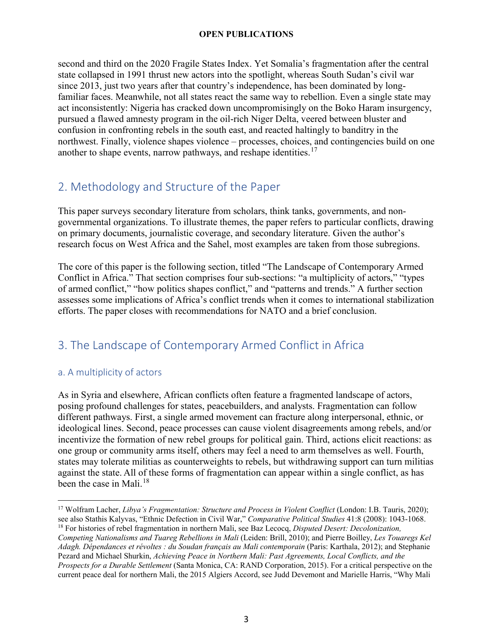second and third on the 2020 Fragile States Index. Yet Somalia's fragmentation after the central state collapsed in 1991 thrust new actors into the spotlight, whereas South Sudan's civil war since 2013, just two years after that country's independence, has been dominated by longfamiliar faces. Meanwhile, not all states react the same way to rebellion. Even a single state may act inconsistently: Nigeria has cracked down uncompromisingly on the Boko Haram insurgency, pursued a flawed amnesty program in the oil-rich Niger Delta, veered between bluster and confusion in confronting rebels in the south east, and reacted haltingly to banditry in the northwest. Finally, violence shapes violence – processes, choices, and contingencies build on one another to shape events, narrow pathways, and reshape identities.<sup>[17](#page-6-3)</sup>

# <span id="page-6-0"></span>2. Methodology and Structure of the Paper

This paper surveys secondary literature from scholars, think tanks, governments, and nongovernmental organizations. To illustrate themes, the paper refers to particular conflicts, drawing on primary documents, journalistic coverage, and secondary literature. Given the author's research focus on West Africa and the Sahel, most examples are taken from those subregions.

The core of this paper is the following section, titled "The Landscape of Contemporary Armed Conflict in Africa." That section comprises four sub-sections: "a multiplicity of actors," "types of armed conflict," "how politics shapes conflict," and "patterns and trends." A further section assesses some implications of Africa's conflict trends when it comes to international stabilization efforts. The paper closes with recommendations for NATO and a brief conclusion.

# <span id="page-6-1"></span>3. The Landscape of Contemporary Armed Conflict in Africa

## <span id="page-6-2"></span>a. A multiplicity of actors

 $\overline{a}$ 

As in Syria and elsewhere, African conflicts often feature a fragmented landscape of actors, posing profound challenges for states, peacebuilders, and analysts. Fragmentation can follow different pathways. First, a single armed movement can fracture along interpersonal, ethnic, or ideological lines. Second, peace processes can cause violent disagreements among rebels, and/or incentivize the formation of new rebel groups for political gain. Third, actions elicit reactions: as one group or community arms itself, others may feel a need to arm themselves as well. Fourth, states may tolerate militias as counterweights to rebels, but withdrawing support can turn militias against the state. All of these forms of fragmentation can appear within a single conflict, as has been the case in Mali.<sup>[18](#page-6-4)</sup>

<span id="page-6-3"></span><sup>&</sup>lt;sup>17</sup> Wolfram Lacher, *Libya's Fragmentation: Structure and Process in Violent Conflict* (London: I.B. Tauris, 2020); see also Stathis Kalyvas, "Ethnic Defection in Civil War," *Comparative Political Studies* 41:8 (2008): 1043-1068. <sup>18</sup> For histories of rebel fragmentation in northern Mali, see Baz Lecocq, *Disputed Desert: Decolonization, Competing Nationalisms and Tuareg Rebellions in Mali* (Leiden: Brill, 2010); and Pierre Boilley, *Les Touaregs Kel* 

<span id="page-6-4"></span>*Adagh. Dépendances et révoltes : du Soudan français au Mali contemporain* (Paris: Karthala, 2012); and Stephanie Pezard and Michael Shurkin, *Achieving Peace in Northern Mali: Past Agreements, Local Conflicts, and the Prospects for a Durable Settlement* (Santa Monica, CA: RAND Corporation, 2015). For a critical perspective on the current peace deal for northern Mali, the 2015 Algiers Accord, see Judd Devemont and Marielle Harris, "Why Mali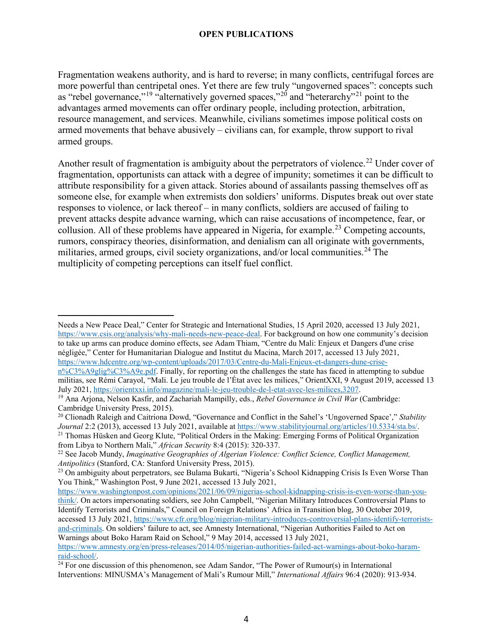Fragmentation weakens authority, and is hard to reverse; in many conflicts, centrifugal forces are more powerful than centripetal ones. Yet there are few truly "ungoverned spaces": concepts such as "rebel governance,"<sup>[19](#page-7-0)</sup> "alternatively governed spaces,"<sup>[20](#page-7-1)</sup> and "heterarchy"<sup>[21](#page-7-2)</sup> point to the advantages armed movements can offer ordinary people, including protection, arbitration, resource management, and services. Meanwhile, civilians sometimes impose political costs on armed movements that behave abusively – civilians can, for example, throw support to rival armed groups.

Another result of fragmentation is ambiguity about the perpetrators of violence.<sup>[22](#page-7-3)</sup> Under cover of fragmentation, opportunists can attack with a degree of impunity; sometimes it can be difficult to attribute responsibility for a given attack. Stories abound of assailants passing themselves off as someone else, for example when extremists don soldiers' uniforms. Disputes break out over state responses to violence, or lack thereof – in many conflicts, soldiers are accused of failing to prevent attacks despite advance warning, which can raise accusations of incompetence, fear, or collusion. All of these problems have appeared in Nigeria, for example.<sup>[23](#page-7-4)</sup> Competing accounts, rumors, conspiracy theories, disinformation, and denialism can all originate with governments, militaries, armed groups, civil society organizations, and/or local communities.<sup>[24](#page-7-5)</sup> The multiplicity of competing perceptions can itself fuel conflict.

 $\overline{a}$ 

<span id="page-7-1"></span><sup>20</sup> Clionadh Raleigh and Caitriona Dowd, "Governance and Conflict in the Sahel's 'Ungoverned Space'," *Stability*  Journal 2:2 (2013), accessed 13 July 2021, available at [https://www.stabilityjournal.org/articles/10.5334/sta.bs/.](https://www.stabilityjournal.org/articles/10.5334/sta.bs/)<br><sup>21</sup> Thomas Hüsken and Georg Klute, "Political Orders in the Making: Emerging Forms of Political Organizati from Libya to Northern Mali," *African Security* 8:4 (2015): 320-337.

Needs a New Peace Deal," Center for Strategic and International Studies, 15 April 2020, accessed 13 July 2021, [https://www.csis.org/analysis/why-mali-needs-new-peace-deal.](https://www.csis.org/analysis/why-mali-needs-new-peace-deal) For background on how one community's decision to take up arms can produce domino effects, see Adam Thiam, "Centre du Mali: Enjeux et Dangers d'une crise négligée," Center for Humanitarian Dialogue and Institut du Macina, March 2017, accessed 13 July 2021, [https://www.hdcentre.org/wp-content/uploads/2017/03/Centre-du-Mali-Enjeux-et-dangers-dune-crise-](https://www.hdcentre.org/wp-content/uploads/2017/03/Centre-du-Mali-Enjeux-et-dangers-dune-crise-n%C3%A9glig%C3%A9e.pdf)

[n%C3%A9glig%C3%A9e.pdf.](https://www.hdcentre.org/wp-content/uploads/2017/03/Centre-du-Mali-Enjeux-et-dangers-dune-crise-n%C3%A9glig%C3%A9e.pdf) Finally, for reporting on the challenges the state has faced in attempting to subdue militias, see Rémi Carayol, "Mali. Le jeu trouble de l'État avec les milices," OrientXXI, 9 August 2019, accessed 13 July 2021, [https://orientxxi.info/magazine/mali-le-jeu-trouble-de-l-etat-avec-les-milices,3207.](https://orientxxi.info/magazine/mali-le-jeu-trouble-de-l-etat-avec-les-milices,3207)

<span id="page-7-0"></span><sup>19</sup> Ana Arjona, Nelson Kasfir, and Zachariah Mampilly, eds., *Rebel Governance in Civil War* (Cambridge: Cambridge University Press, 2015).

<span id="page-7-3"></span><span id="page-7-2"></span><sup>22</sup> See Jacob Mundy, *Imaginative Geographies of Algerian Violence: Conflict Science, Conflict Management, Antipolitics* (Stanford, CA: Stanford University Press, 2015).

<span id="page-7-4"></span><sup>&</sup>lt;sup>23</sup> On ambiguity about perpetrators, see Bulama Bukarti, "Nigeria's School Kidnapping Crisis Is Even Worse Than You Think," Washington Post, 9 June 2021, accessed 13 July 2021,

[https://www.washingtonpost.com/opinions/2021/06/09/nigerias-school-kidnapping-crisis-is-even-worse-than-you](https://www.washingtonpost.com/opinions/2021/06/09/nigerias-school-kidnapping-crisis-is-even-worse-than-you-think/)[think/.](https://www.washingtonpost.com/opinions/2021/06/09/nigerias-school-kidnapping-crisis-is-even-worse-than-you-think/) On actors impersonating soldiers, see John Campbell, "Nigerian Military Introduces Controversial Plans to Identify Terrorists and Criminals," Council on Foreign Relations' Africa in Transition blog, 30 October 2019, accessed 13 July 2021, [https://www.cfr.org/blog/nigerian-military-introduces-controversial-plans-identify-terrorists](https://www.cfr.org/blog/nigerian-military-introduces-controversial-plans-identify-terrorists-and-criminals)[and-criminals.](https://www.cfr.org/blog/nigerian-military-introduces-controversial-plans-identify-terrorists-and-criminals) On soldiers' failure to act, see Amnesty International, "Nigerian Authorities Failed to Act on Warnings about Boko Haram Raid on School," 9 May 2014, accessed 13 July 2021,

[https://www.amnesty.org/en/press-releases/2014/05/nigerian-authorities-failed-act-warnings-about-boko-haram](https://www.amnesty.org/en/press-releases/2014/05/nigerian-authorities-failed-act-warnings-about-boko-haram-raid-school/)[raid-school/.](https://www.amnesty.org/en/press-releases/2014/05/nigerian-authorities-failed-act-warnings-about-boko-haram-raid-school/)

<span id="page-7-5"></span> $24$  For one discussion of this phenomenon, see Adam Sandor, "The Power of Rumour(s) in International Interventions: MINUSMA's Management of Mali's Rumour Mill," *International Affairs* 96:4 (2020): 913-934.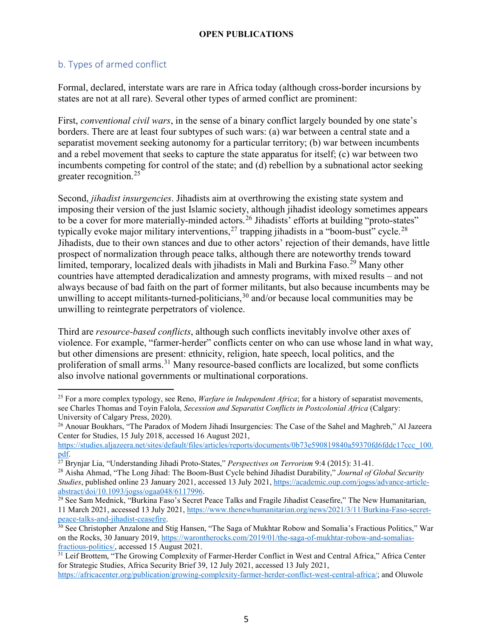## <span id="page-8-0"></span>b. Types of armed conflict

 $\overline{a}$ 

Formal, declared, interstate wars are rare in Africa today (although cross-border incursions by states are not at all rare). Several other types of armed conflict are prominent:

First, *conventional civil wars*, in the sense of a binary conflict largely bounded by one state's borders. There are at least four subtypes of such wars: (a) war between a central state and a separatist movement seeking autonomy for a particular territory; (b) war between incumbents and a rebel movement that seeks to capture the state apparatus for itself; (c) war between two incumbents competing for control of the state; and (d) rebellion by a subnational actor seeking greater recognition.<sup>[25](#page-8-1)</sup>

Second, *jihadist insurgencies*. Jihadists aim at overthrowing the existing state system and imposing their version of the just Islamic society, although jihadist ideology sometimes appears to be a cover for more materially-minded actors.<sup>[26](#page-8-2)</sup> Jihadists' efforts at building "proto-states" typically evoke major military interventions,  $27$  trapping jihadists in a "boom-bust" cycle.  $28$ Jihadists, due to their own stances and due to other actors' rejection of their demands, have little prospect of normalization through peace talks, although there are noteworthy trends toward limited, temporary, localized deals with jihadists in Mali and Burkina Faso. [29](#page-8-5) Many other countries have attempted deradicalization and amnesty programs, with mixed results – and not always because of bad faith on the part of former militants, but also because incumbents may be unwilling to accept militants-turned-politicians,  $30$  and/or because local communities may be unwilling to reintegrate perpetrators of violence.

Third are *resource-based conflicts*, although such conflicts inevitably involve other axes of violence. For example, "farmer-herder" conflicts center on who can use whose land in what way, but other dimensions are present: ethnicity, religion, hate speech, local politics, and the proliferation of small arms.<sup>[31](#page-8-7)</sup> Many resource-based conflicts are localized, but some conflicts also involve national governments or multinational corporations.

<span id="page-8-1"></span><sup>&</sup>lt;sup>25</sup> For a more complex typology, see Reno, *Warfare in Independent Africa*; for a history of separatist movements, see Charles Thomas and Toyin Falola, *Secession and Separatist Conflicts in Postcolonial Africa* (Calgary: University of Calgary Press, 2020).

<span id="page-8-2"></span><sup>&</sup>lt;sup>26</sup> Anouar Boukhars, "The Paradox of Modern Jihadi Insurgencies: The Case of the Sahel and Maghreb," Al Jazeera Center for Studies, 15 July 2018, accessed 16 August 2021,

[https://studies.aljazeera.net/sites/default/files/articles/reports/documents/0b73e590819840a59370fd6fddc17ccc\\_100.](https://studies.aljazeera.net/sites/default/files/articles/reports/documents/0b73e590819840a59370fd6fddc17ccc_100.pdf) [pdf.](https://studies.aljazeera.net/sites/default/files/articles/reports/documents/0b73e590819840a59370fd6fddc17ccc_100.pdf) 27 Brynjar Lia, "Understanding Jihadi Proto-States," *Perspectives on Terrorism* 9:4 (2015): 31-41.

<span id="page-8-3"></span>

<span id="page-8-4"></span><sup>28</sup> Aisha Ahmad, "The Long Jihad: The Boom-Bust Cycle behind Jihadist Durability," *Journal of Global Security Studies*, published online 23 January 2021, accessed 13 July 2021, [https://academic.oup.com/jogss/advance-article](https://academic.oup.com/jogss/advance-article-abstract/doi/10.1093/jogss/ogaa048/6117996)[abstract/doi/10.1093/jogss/ogaa048/6117996.](https://academic.oup.com/jogss/advance-article-abstract/doi/10.1093/jogss/ogaa048/6117996)

<span id="page-8-5"></span><sup>&</sup>lt;sup>29</sup> See Sam Mednick, "Burkina Faso's Secret Peace Talks and Fragile Jihadist Ceasefire," The New Humanitarian, 11 March 2021, accessed 13 July 2021, https://www.thenewhumanitarian.org/news/2021/3/11/Burkina-Faso-secret-<br>peace-talks-and-jihadist-ceasefire.

<span id="page-8-6"></span><sup>&</sup>lt;sup>30</sup> See Christopher Anzalone and Stig Hansen, "The Saga of Mukhtar Robow and Somalia's Fractious Politics," War on the Rocks, 30 January 2019, [https://warontherocks.com/2019/01/the-saga-of-mukhtar-robow-and-somalias](https://warontherocks.com/2019/01/the-saga-of-mukhtar-robow-and-somalias-fractious-politics/)[fractious-politics/,](https://warontherocks.com/2019/01/the-saga-of-mukhtar-robow-and-somalias-fractious-politics/) accessed 15 August 2021.<br><sup>31</sup> Leif Brottem, "The Growing Complexity of Farmer-Herder Conflict in West and Central Africa," Africa Center

<span id="page-8-7"></span>for Strategic Studies, Africa Security Brief 39, 12 July 2021, accessed 13 July 2021,

[https://africacenter.org/publication/growing-complexity-farmer-herder-conflict-west-central-africa/;](https://africacenter.org/publication/growing-complexity-farmer-herder-conflict-west-central-africa/) and Oluwole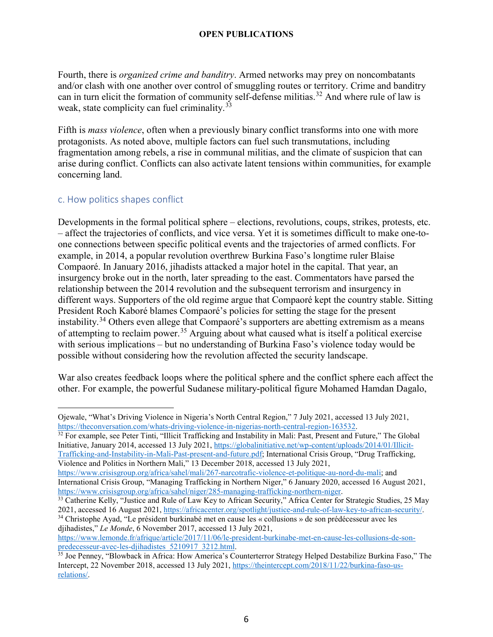Fourth, there is *organized crime and banditry*. Armed networks may prey on noncombatants and/or clash with one another over control of smuggling routes or territory. Crime and banditry can in turn elicit the formation of community self-defense militias.<sup>[32](#page-9-1)</sup> And where rule of law is weak, state complicity can fuel criminality.<sup>[33](#page-9-2)</sup>

Fifth is *mass violence*, often when a previously binary conflict transforms into one with more protagonists. As noted above, multiple factors can fuel such transmutations, including fragmentation among rebels, a rise in communal militias, and the climate of suspicion that can arise during conflict. Conflicts can also activate latent tensions within communities, for example concerning land.

#### <span id="page-9-0"></span>c. How politics shapes conflict

 $\overline{a}$ 

Developments in the formal political sphere – elections, revolutions, coups, strikes, protests, etc. – affect the trajectories of conflicts, and vice versa. Yet it is sometimes difficult to make one-toone connections between specific political events and the trajectories of armed conflicts. For example, in 2014, a popular revolution overthrew Burkina Faso's longtime ruler Blaise Compaoré. In January 2016, jihadists attacked a major hotel in the capital. That year, an insurgency broke out in the north, later spreading to the east. Commentators have parsed the relationship between the 2014 revolution and the subsequent terrorism and insurgency in different ways. Supporters of the old regime argue that Compaoré kept the country stable. Sitting President Roch Kaboré blames Compaoré's policies for setting the stage for the present instability.<sup>[34](#page-9-3)</sup> Others even allege that Compaoré's supporters are abetting extremism as a means of attempting to reclaim power.<sup>[35](#page-9-4)</sup> Arguing about what caused what is itself a political exercise with serious implications – but no understanding of Burkina Faso's violence today would be possible without considering how the revolution affected the security landscape.

War also creates feedback loops where the political sphere and the conflict sphere each affect the other. For example, the powerful Sudanese military-political figure Mohamed Hamdan Dagalo,

<span id="page-9-1"></span>Initiative, January 2014, accessed 13 July 2021, [https://globalinitiative.net/wp-content/uploads/2014/01/Illicit-](https://globalinitiative.net/wp-content/uploads/2014/01/Illicit-Trafficking-and-Instability-in-Mali-Past-present-and-future.pdf)[Trafficking-and-Instability-in-Mali-Past-present-and-future.pdf;](https://globalinitiative.net/wp-content/uploads/2014/01/Illicit-Trafficking-and-Instability-in-Mali-Past-present-and-future.pdf) International Crisis Group, "Drug Trafficking, Violence and Politics in Northern Mali," 13 December 2018, accessed 13 July 2021,

[https://www.crisisgroup.org/africa/sahel/mali/267-narcotrafic-violence-et-politique-au-nord-du-mali;](https://www.crisisgroup.org/africa/sahel/mali/267-narcotrafic-violence-et-politique-au-nord-du-mali) and International Crisis Group, "Managing Trafficking in Northern Niger," 6 January 2020, accessed 16 August 2021, https://www.crisisgroup.org/africa/sahel/niger/285-managing-trafficking-northern-niger.

<span id="page-9-3"></span><sup>34</sup> Christophe Ayad, "Le président burkinabé met en cause les « collusions » de son prédécesseur avec les djihadistes," *Le Monde*, 6 November 2017, accessed 13 July 2021,

https://www.lemonde.fr/afrique/article/2017/11/06/le-president-burkinabe-met-en-cause-les-collusions-de-son-<br>predecesseur-avec-les-djihadistes 5210917 3212.html.

Ojewale, "What's Driving Violence in Nigeria's North Central Region," 7 July 2021, accessed 13 July 2021, [https://theconversation.com/whats-driving-violence-in-nigerias-north-central-region-163532.](https://theconversation.com/whats-driving-violence-in-nigerias-north-central-region-163532)<br><sup>32</sup> For example, see Peter Tinti, "Illicit Trafficking and Instability in Mali: Past, Present and Future," The Global

<span id="page-9-2"></span> $\frac{33}{2}$  Catherine Kelly, "Justice and Rule of Law Key to African Security," Africa Center for Strategic Studies, 25 May 2021, accessed 16 August 2021, https://africacenter.org/spotlight/justice-and-rule-of-law-key-to-a

<span id="page-9-4"></span><sup>&</sup>lt;sup>35</sup> Joe Penney, "Blowback in Africa: How America's Counterterror Strategy Helped Destabilize Burkina Faso," The Intercept, 22 November 2018, accessed 13 July 2021, [https://theintercept.com/2018/11/22/burkina-faso-us](https://theintercept.com/2018/11/22/burkina-faso-us-relations/)[relations/.](https://theintercept.com/2018/11/22/burkina-faso-us-relations/)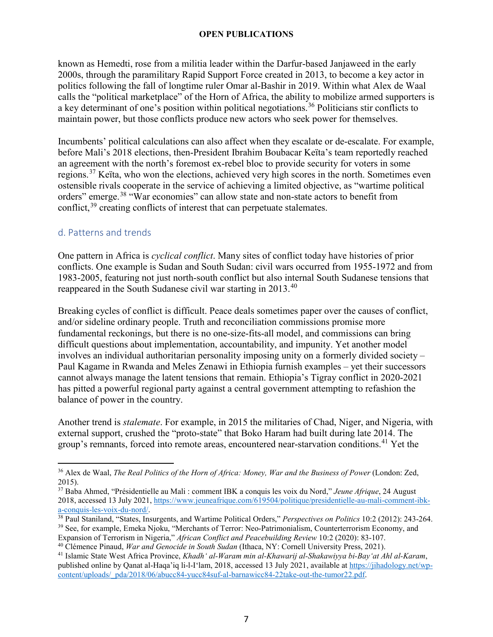known as Hemedti, rose from a militia leader within the Darfur-based Janjaweed in the early 2000s, through the paramilitary Rapid Support Force created in 2013, to become a key actor in politics following the fall of longtime ruler Omar al-Bashir in 2019. Within what Alex de Waal calls the "political marketplace" of the Horn of Africa, the ability to mobilize armed supporters is a key determinant of one's position within political negotiations.<sup>[36](#page-10-1)</sup> Politicians stir conflicts to maintain power, but those conflicts produce new actors who seek power for themselves.

Incumbents' political calculations can also affect when they escalate or de-escalate. For example, before Mali's 2018 elections, then-President Ibrahim Boubacar Keïta's team reportedly reached an agreement with the north's foremost ex-rebel bloc to provide security for voters in some regions.<sup>[37](#page-10-2)</sup> Keïta, who won the elections, achieved very high scores in the north. Sometimes even ostensible rivals cooperate in the service of achieving a limited objective, as "wartime political orders" emerge.<sup>[38](#page-10-3)</sup> "War economies" can allow state and non-state actors to benefit from conflict,  $39$  creating conflicts of interest that can perpetuate stalemates.

## <span id="page-10-0"></span>d. Patterns and trends

One pattern in Africa is *cyclical conflict*. Many sites of conflict today have histories of prior conflicts. One example is Sudan and South Sudan: civil wars occurred from 1955-1972 and from 1983-2005, featuring not just north-south conflict but also internal South Sudanese tensions that reappeared in the South Sudanese civil war starting in 2013.<sup>[40](#page-10-5)</sup>

Breaking cycles of conflict is difficult. Peace deals sometimes paper over the causes of conflict, and/or sideline ordinary people. Truth and reconciliation commissions promise more fundamental reckonings, but there is no one-size-fits-all model, and commissions can bring difficult questions about implementation, accountability, and impunity. Yet another model involves an individual authoritarian personality imposing unity on a formerly divided society – Paul Kagame in Rwanda and Meles Zenawi in Ethiopia furnish examples – yet their successors cannot always manage the latent tensions that remain. Ethiopia's Tigray conflict in 2020-2021 has pitted a powerful regional party against a central government attempting to refashion the balance of power in the country.

Another trend is *stalemate*. For example, in 2015 the militaries of Chad, Niger, and Nigeria, with external support, crushed the "proto-state" that Boko Haram had built during late 2014. The group's remnants, forced into remote areas, encountered near-starvation conditions.<sup>[41](#page-10-6)</sup> Yet the

<span id="page-10-1"></span> $\overline{a}$ <sup>36</sup> Alex de Waal, *The Real Politics of the Horn of Africa: Money, War and the Business of Power* (London: Zed, 2015).

<span id="page-10-2"></span><sup>37</sup> Baba Ahmed, "Présidentielle au Mali : comment IBK a conquis les voix du Nord," *Jeune Afrique*, 24 August 2018, accessed 13 July 2021, [https://www.jeuneafrique.com/619504/politique/presidentielle-au-mali-comment-ibk](https://www.jeuneafrique.com/619504/politique/presidentielle-au-mali-comment-ibk-a-conquis-les-voix-du-nord/)[a-conquis-les-voix-du-nord/.](https://www.jeuneafrique.com/619504/politique/presidentielle-au-mali-comment-ibk-a-conquis-les-voix-du-nord/) 38 Paul Staniland, "States, Insurgents, and Wartime Political Orders," *Perspectives on Politics* 10:2 (2012): 243-264.

<span id="page-10-3"></span>

<span id="page-10-4"></span><sup>39</sup> See, for example, Emeka Njoku, "Merchants of Terror: Neo-Patrimonialism, Counterterrorism Economy, and Expansion of Terrorism in Nigeria," *African Conflict and Peacebuilding Review* 10:2 (2020): 83-107. 40 Clémence Pinaud, *War and Genocide in South Sudan* (Ithaca, NY: Cornell University Press, 2021).

<span id="page-10-5"></span>

<span id="page-10-6"></span><sup>41</sup> Islamic State West Africa Province, *Khadh' al-Waram min al-Khawarij al-Shakawiyya bi-Bay'at Ahl al-Karam*, published online by Qanat al-Haqa'iq li-l-I'lam, 2018, accessed 13 July 2021, available at [https://jihadology.net/wp](https://jihadology.net/wp-content/uploads/_pda/2018/06/abucc84-yucc84suf-al-barnawicc84-22take-out-the-tumor22.pdf)[content/uploads/\\_pda/2018/06/abucc84-yucc84suf-al-barnawicc84-22take-out-the-tumor22.pdf.](https://jihadology.net/wp-content/uploads/_pda/2018/06/abucc84-yucc84suf-al-barnawicc84-22take-out-the-tumor22.pdf)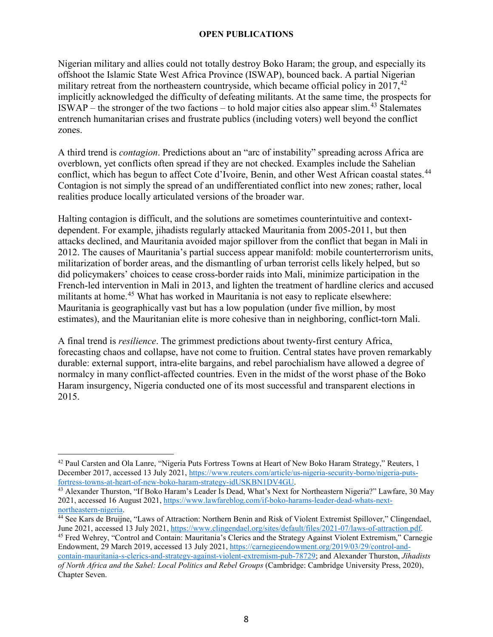Nigerian military and allies could not totally destroy Boko Haram; the group, and especially its offshoot the Islamic State West Africa Province (ISWAP), bounced back. A partial Nigerian military retreat from the northeastern countryside, which became official policy in  $2017$ ,  $42$ implicitly acknowledged the difficulty of defeating militants. At the same time, the prospects for ISWAP – the stronger of the two factions – to hold major cities also appear slim.<sup>[43](#page-11-1)</sup> Stalemates entrench humanitarian crises and frustrate publics (including voters) well beyond the conflict zones.

A third trend is *contagion*. Predictions about an "arc of instability" spreading across Africa are overblown, yet conflicts often spread if they are not checked. Examples include the Sahelian conflict, which has begun to affect Cote d'Ivoire, Benin, and other West African coastal states.<sup>[44](#page-11-2)</sup> Contagion is not simply the spread of an undifferentiated conflict into new zones; rather, local realities produce locally articulated versions of the broader war.

Halting contagion is difficult, and the solutions are sometimes counterintuitive and contextdependent. For example, jihadists regularly attacked Mauritania from 2005-2011, but then attacks declined, and Mauritania avoided major spillover from the conflict that began in Mali in 2012. The causes of Mauritania's partial success appear manifold: mobile counterterrorism units, militarization of border areas, and the dismantling of urban terrorist cells likely helped, but so did policymakers' choices to cease cross-border raids into Mali, minimize participation in the French-led intervention in Mali in 2013, and lighten the treatment of hardline clerics and accused militants at home.<sup>[45](#page-11-3)</sup> What has worked in Mauritania is not easy to replicate elsewhere: Mauritania is geographically vast but has a low population (under five million, by most estimates), and the Mauritanian elite is more cohesive than in neighboring, conflict-torn Mali.

A final trend is *resilience*. The grimmest predictions about twenty-first century Africa, forecasting chaos and collapse, have not come to fruition. Central states have proven remarkably durable: external support, intra-elite bargains, and rebel parochialism have allowed a degree of normalcy in many conflict-affected countries. Even in the midst of the worst phase of the Boko Haram insurgency, Nigeria conducted one of its most successful and transparent elections in 2015.

<span id="page-11-0"></span> $\overline{a}$ <sup>42</sup> Paul Carsten and Ola Lanre, "Nigeria Puts Fortress Towns at Heart of New Boko Haram Strategy," Reuters, 1 December 2017, accessed 13 July 2021[, https://www.reuters.com/article/us-nigeria-security-borno/nigeria-puts](https://www.reuters.com/article/us-nigeria-security-borno/nigeria-puts-fortress-towns-at-heart-of-new-boko-haram-strategy-idUSKBN1DV4GU)[fortress-towns-at-heart-of-new-boko-haram-strategy-idUSKBN1DV4GU.](https://www.reuters.com/article/us-nigeria-security-borno/nigeria-puts-fortress-towns-at-heart-of-new-boko-haram-strategy-idUSKBN1DV4GU) 43 Alexander Thurston, "If Boko Haram's Leader Is Dead, What's Next for Northeastern Nigeria?" Lawfare, 30 May

<span id="page-11-1"></span><sup>2021,</sup> accessed 16 August 2021, https://www.lawfareblog.com/if-boko-harams-leader-dead-whats-next-<br>northeastern-nigeria.

<span id="page-11-2"></span><sup>&</sup>lt;sup>44</sup> See Kars de Bruijne, "Laws of Attraction: Northern Benin and Risk of Violent Extremist Spillover," Clingendael, June 2021, accessed 13 July 2021, https://www.clingendael.org/sites/default/files/2021-07/laws-of-attract

<span id="page-11-3"></span><sup>&</sup>lt;sup>45</sup> Fred Wehrey, "Control and Contain: Mauritania's Clerics and the Strategy Against Violent Extremism," Carnegie Endowment, 29 March 2019, accessed 13 July 2021[, https://carnegieendowment.org/2019/03/29/control-and-](https://carnegieendowment.org/2019/03/29/control-and-contain-mauritania-s-clerics-and-strategy-against-violent-extremism-pub-78729)

[contain-mauritania-s-clerics-and-strategy-against-violent-extremism-pub-78729;](https://carnegieendowment.org/2019/03/29/control-and-contain-mauritania-s-clerics-and-strategy-against-violent-extremism-pub-78729) and Alexander Thurston, *Jihadists of North Africa and the Sahel: Local Politics and Rebel Groups* (Cambridge: Cambridge University Press, 2020), Chapter Seven.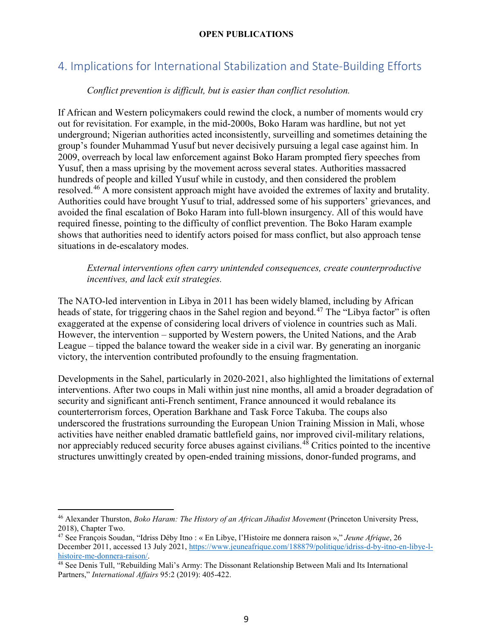# <span id="page-12-0"></span>4. Implications for International Stabilization and State-Building Efforts

### *Conflict prevention is difficult, but is easier than conflict resolution.*

If African and Western policymakers could rewind the clock, a number of moments would cry out for revisitation. For example, in the mid-2000s, Boko Haram was hardline, but not yet underground; Nigerian authorities acted inconsistently, surveilling and sometimes detaining the group's founder Muhammad Yusuf but never decisively pursuing a legal case against him. In 2009, overreach by local law enforcement against Boko Haram prompted fiery speeches from Yusuf, then a mass uprising by the movement across several states. Authorities massacred hundreds of people and killed Yusuf while in custody, and then considered the problem resolved.<sup>[46](#page-12-1)</sup> A more consistent approach might have avoided the extremes of laxity and brutality. Authorities could have brought Yusuf to trial, addressed some of his supporters' grievances, and avoided the final escalation of Boko Haram into full-blown insurgency. All of this would have required finesse, pointing to the difficulty of conflict prevention. The Boko Haram example shows that authorities need to identify actors poised for mass conflict, but also approach tense situations in de-escalatory modes.

#### *External interventions often carry unintended consequences, create counterproductive incentives, and lack exit strategies.*

The NATO-led intervention in Libya in 2011 has been widely blamed, including by African heads of state, for triggering chaos in the Sahel region and beyond.<sup>[47](#page-12-2)</sup> The "Libya factor" is often exaggerated at the expense of considering local drivers of violence in countries such as Mali. However, the intervention – supported by Western powers, the United Nations, and the Arab League – tipped the balance toward the weaker side in a civil war. By generating an inorganic victory, the intervention contributed profoundly to the ensuing fragmentation.

Developments in the Sahel, particularly in 2020-2021, also highlighted the limitations of external interventions. After two coups in Mali within just nine months, all amid a broader degradation of security and significant anti-French sentiment, France announced it would rebalance its counterterrorism forces, Operation Barkhane and Task Force Takuba. The coups also underscored the frustrations surrounding the European Union Training Mission in Mali, whose activities have neither enabled dramatic battlefield gains, nor improved civil-military relations, nor appreciably reduced security force abuses against civilians.<sup>[48](#page-12-3)</sup> Critics pointed to the incentive structures unwittingly created by open-ended training missions, donor-funded programs, and

 $\overline{a}$ 

<span id="page-12-1"></span><sup>46</sup> Alexander Thurston, *Boko Haram: The History of an African Jihadist Movement* (Princeton University Press, 2018), Chapter Two.

<span id="page-12-2"></span><sup>47</sup> See François Soudan, "Idriss Déby Itno : « En Libye, l'Histoire me donnera raison »," *Jeune Afrique*, 26 December 2011, accessed 13 July 2021[, https://www.jeuneafrique.com/188879/politique/idriss-d-by-itno-en-libye-l](https://www.jeuneafrique.com/188879/politique/idriss-d-by-itno-en-libye-l-histoire-me-donnera-raison/)histoire-me-donnera-raison/.<br><sup>48</sup> See Denis Tull, "Rebuilding Mali's Army: The Dissonant Relationship Between Mali and Its International

<span id="page-12-3"></span>Partners," *International Affairs* 95:2 (2019): 405-422.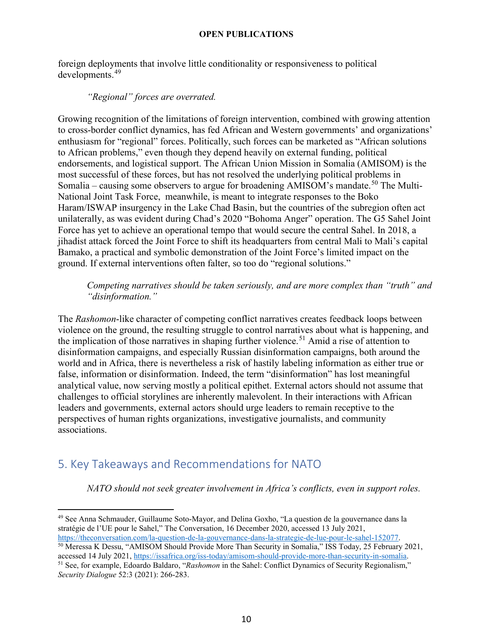foreign deployments that involve little conditionality or responsiveness to political developments.[49](#page-13-1)

#### *"Regional" forces are overrated.*

Growing recognition of the limitations of foreign intervention, combined with growing attention to cross-border conflict dynamics, has fed African and Western governments' and organizations' enthusiasm for "regional" forces. Politically, such forces can be marketed as "African solutions to African problems," even though they depend heavily on external funding, political endorsements, and logistical support. The African Union Mission in Somalia (AMISOM) is the most successful of these forces, but has not resolved the underlying political problems in Somalia – causing some observers to argue for broadening AMISOM's mandate.<sup>[50](#page-13-2)</sup> The Multi-National Joint Task Force, meanwhile, is meant to integrate responses to the Boko Haram/ISWAP insurgency in the Lake Chad Basin, but the countries of the subregion often act unilaterally, as was evident during Chad's 2020 "Bohoma Anger" operation. The G5 Sahel Joint Force has yet to achieve an operational tempo that would secure the central Sahel. In 2018, a jihadist attack forced the Joint Force to shift its headquarters from central Mali to Mali's capital Bamako, a practical and symbolic demonstration of the Joint Force's limited impact on the ground. If external interventions often falter, so too do "regional solutions."

#### *Competing narratives should be taken seriously, and are more complex than "truth" and "disinformation."*

The *Rashomon*-like character of competing conflict narratives creates feedback loops between violence on the ground, the resulting struggle to control narratives about what is happening, and the implication of those narratives in shaping further violence.<sup>[51](#page-13-3)</sup> Amid a rise of attention to disinformation campaigns, and especially Russian disinformation campaigns, both around the world and in Africa, there is nevertheless a risk of hastily labeling information as either true or false, information or disinformation. Indeed, the term "disinformation" has lost meaningful analytical value, now serving mostly a political epithet. External actors should not assume that challenges to official storylines are inherently malevolent. In their interactions with African leaders and governments, external actors should urge leaders to remain receptive to the perspectives of human rights organizations, investigative journalists, and community associations.

# <span id="page-13-0"></span>5. Key Takeaways and Recommendations for NATO

*NATO should not seek greater involvement in Africa's conflicts, even in support roles.*

<span id="page-13-1"></span> $\overline{a}$ <sup>49</sup> See Anna Schmauder, Guillaume Soto-Mayor, and Delina Goxho, "La question de la gouvernance dans la stratégie de l'UE pour le Sahel," The Conversation, 16 December 2020, accessed 13 July 2021,

<span id="page-13-2"></span>[https://theconversation.com/la-question-de-la-gouvernance-dans-la-strategie-de-lue-pour-le-sahel-152077.](https://theconversation.com/la-question-de-la-gouvernance-dans-la-strategie-de-lue-pour-le-sahel-152077)<br><sup>50</sup> Meressa K Dessu, "AMISOM Should Provide More Than Security in Somalia," ISS Today, 25 February 2021, accessed 14

<span id="page-13-3"></span><sup>&</sup>lt;sup>51</sup> See, for example, Edoardo Baldaro, "*Rashomon* in the Sahel: Conflict Dynamics of Security Regionalism," *Security Dialogue* 52:3 (2021): 266-283.